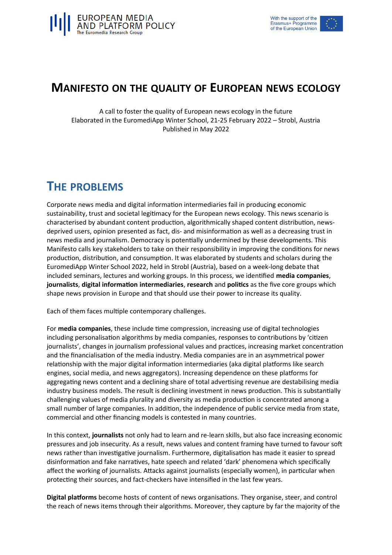

#### **MANIFESTO ON THE QUALITY OF EUROPEAN NEWS ECOLOGY**

A call to foster the quality of European news ecology in the future Elaborated in the EuromediApp Winter School, 21-25 February 2022 – Strobl, Austria Published in May 2022

### **THE PROBLEMS**

Corporate news media and digital information intermediaries fail in producing economic sustainability, trust and societal legitimacy for the European news ecology. This news scenario is characterised by abundant content production, algorithmically shaped content distribution, newsdeprived users, opinion presented as fact, dis- and misinformation as well as a decreasing trust in news media and journalism. Democracy is potentially undermined by these developments. This Manifesto calls key stakeholders to take on their responsibility in improving the conditions for news production, distribution, and consumption. It was elaborated by students and scholars during the EuromediApp Winter School 2022, held in Strobl (Austria), based on a week-long debate that included seminars, lectures and working groups. In this process, we identified **media companies**, **journalists**, **digital information intermediaries**, **research** and **politics** as the five core groups which shape news provision in Europe and that should use their power to increase its quality.

Each of them faces multiple contemporary challenges.

For **media companies**, these include time compression, increasing use of digital technologies including personalisation algorithms by media companies, responses to contributions by 'citizen journalists', changes in journalism professional values and practices, increasing market concentration and the financialisation of the media industry. Media companies are in an asymmetrical power relationship with the major digital information intermediaries (aka digital platforms like search engines, social media, and news aggregators). Increasing dependence on these platforms for aggregating news content and a declining share of total advertising revenue are destabilising media industry business models. The result is declining investment in news production. This is substantially challenging values of media plurality and diversity as media production is concentrated among a small number of large companies. In addition, the independence of public service media from state, commercial and other financing models is contested in many countries.

In this context, **journalists** not only had to learn and re-learn skills, but also face increasing economic pressures and job insecurity. As a result, news values and content framing have turned to favour soft news rather than investigative journalism. Furthermore, digitalisation has made it easier to spread disinformation and fake narratives, hate speech and related 'dark' phenomena which specifically affect the working of journalists. Attacks against journalists (especially women), in particular when protecting their sources, and fact-checkers have intensified in the last few years.

**Digital platforms** become hosts of content of news organisations. They organise, steer, and control the reach of news items through their algorithms. Moreover, they capture by far the majority of the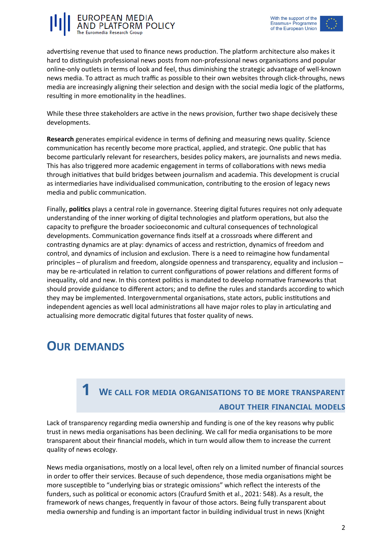



advertising revenue that used to finance news production. The platform architecture also makes it hard to distinguish professional news posts from non-professional news organisations and popular online-only outlets in terms of look and feel, thus diminishing the strategic advantage of well-known news media. To attract as much traffic as possible to their own websites through click-throughs, news media are increasingly aligning their selection and design with the social media logic of the platforms, resulting in more emotionality in the headlines.

While these three stakeholders are active in the news provision, further two shape decisively these developments.

**Research** generates empirical evidence in terms of defining and measuring news quality. Science communication has recently become more practical, applied, and strategic. One public that has become particularly relevant for researchers, besides policy makers, are journalists and news media. This has also triggered more academic engagement in terms of collaborations with news media through initiatives that build bridges between journalism and academia. This development is crucial as intermediaries have individualised communication, contributing to the erosion of legacy news media and public communication.

Finally, **politics** plays a central role in governance. Steering digital futures requires not only adequate understanding of the inner working of digital technologies and platform operations, but also the capacity to prefigure the broader socioeconomic and cultural consequences of technological developments. Communication governance finds itself at a crossroads where different and contrasting dynamics are at play: dynamics of access and restriction, dynamics of freedom and control, and dynamics of inclusion and exclusion. There is a need to reimagine how fundamental principles – of pluralism and freedom, alongside openness and transparency, equality and inclusion – may be re-articulated in relation to current configurations of power relations and different forms of inequality, old and new. In this context politics is mandated to develop normative frameworks that should provide guidance to different actors; and to define the rules and standards according to which they may be implemented. Intergovernmental organisations, state actors, public institutions and independent agencies as well local administrations all have major roles to play in articulating and actualising more democratic digital futures that foster quality of news.

#### **OUR DEMANDS**

#### **1 <sup>W</sup><sup>E</sup> CALL FOR MEDIA ORGANISATIONS TO BE MORE TRANSPARENT ABOUT THEIR FINANCIAL MODELS**

Lack of transparency regarding media ownership and funding is one of the key reasons why public trust in news media organisations has been declining. We call for media organisations to be more transparent about their financial models, which in turn would allow them to increase the current quality of news ecology.

News media organisations, mostly on a local level, often rely on a limited number of financial sources in order to offer their services. Because of such dependence, those media organisations might be more susceptible to "underlying bias or strategic omissions" which reflect the interests of the funders, such as political or economic actors (Craufurd Smith et al., 2021: 548). As a result, the framework of news changes, frequently in favour of those actors. Being fully transparent about media ownership and funding is an important factor in building individual trust in news (Knight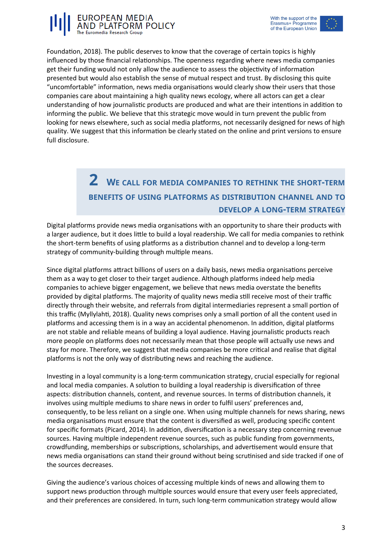



Foundation, 2018). The public deserves to know that the coverage of certain topics is highly influenced by those financial relationships. The openness regarding where news media companies get their funding would not only allow the audience to assess the objectivity of information presented but would also establish the sense of mutual respect and trust. By disclosing this quite "uncomfortable" information, news media organisations would clearly show their users that those companies care about maintaining a high quality news ecology, where all actors can get a clear understanding of how journalistic products are produced and what are their intentions in addition to informing the public. We believe that this strategic move would in turn prevent the public from looking for news elsewhere, such as social media platforms, not necessarily designed for news of high quality. We suggest that this information be clearly stated on the online and print versions to ensure full disclosure.

#### **2 <sup>W</sup><sup>E</sup> CALL FOR MEDIA COMPANIES TO RETHINK THE SHORT-TERM BENEFITS OF USING PLATFORMS AS DISTRIBUTION CHANNEL AND TO DEVELOP A LONG-TERM STRATEGY**

Digital platforms provide news media organisations with an opportunity to share their products with a larger audience, but it does little to build a loyal readership. We call for media companies to rethink the short-term benefits of using platforms as a distribution channel and to develop a long-term strategy of community-building through multiple means.

Since digital platforms attract billions of users on a daily basis, news media organisations perceive them as a way to get closer to their target audience. Although platforms indeed help media companies to achieve bigger engagement, we believe that news media overstate the benefits provided by digital platforms. The majority of quality news media still receive most of their traffic directly through their website, and referrals from digital intermediaries represent a small portion of this traffic (Myllylahti, 2018). Quality news comprises only a small portion of all the content used in platforms and accessing them is in a way an accidental phenomenon. In addition, digital platforms are not stable and reliable means of building a loyal audience. Having journalistic products reach more people on platforms does not necessarily mean that those people will actually use news and stay for more. Therefore, we suggest that media companies be more critical and realise that digital platforms is not the only way of distributing news and reaching the audience.

Investing in a loyal community is a long-term communication strategy, crucial especially for regional and local media companies. A solution to building a loyal readership is diversification of three aspects: distribution channels, content, and revenue sources. In terms of distribution channels, it involves using multiple mediums to share news in order to fulfil users' preferences and, consequently, to be less reliant on a single one. When using multiple channels for news sharing, news media organisations must ensure that the content is diversified as well, producing specific content for specific formats (Picard, 2014). In addition, diversification is a necessary step concerning revenue sources. Having multiple independent revenue sources, such as public funding from governments, crowdfunding, memberships or subscriptions, scholarships, and advertisement would ensure that news media organisations can stand their ground without being scrutinised and side tracked if one of the sources decreases.

Giving the audience's various choices of accessing multiple kinds of news and allowing them to support news production through multiple sources would ensure that every user feels appreciated, and their preferences are considered. In turn, such long-term communication strategy would allow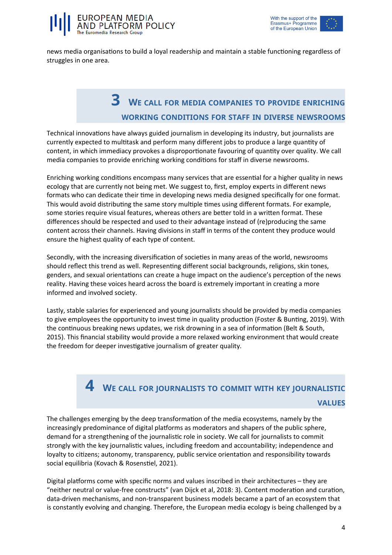

news media organisations to build a loyal readership and maintain a stable functioning regardless of struggles in one area.

### **3 <sup>W</sup><sup>E</sup> CALL FOR MEDIA COMPANIES TO PROVIDE ENRICHING WORKING CONDITIONS FOR STAFF IN DIVERSE NEWSROOMS**

Technical innovations have always guided journalism in developing its industry, but journalists are currently expected to multitask and perform many different jobs to produce a large quantity of content, in which immediacy provokes a disproportionate favouring of quantity over quality. We call media companies to provide enriching working conditions for staff in diverse newsrooms.

Enriching working conditions encompass many services that are essential for a higher quality in news ecology that are currently not being met. We suggest to, first, employ experts in different news formats who can dedicate their time in developing news media designed specifically for one format. This would avoid distributing the same story multiple times using different formats. For example, some stories require visual features, whereas others are better told in a written format. These differences should be respected and used to their advantage instead of (re)producing the same content across their channels. Having divisions in staff in terms of the content they produce would ensure the highest quality of each type of content.

Secondly, with the increasing diversification of societies in many areas of the world, newsrooms should reflect this trend as well. Representing different social backgrounds, religions, skin tones, genders, and sexual orientations can create a huge impact on the audience's perception of the news reality. Having these voices heard across the board is extremely important in creating a more informed and involved society.

Lastly, stable salaries for experienced and young journalists should be provided by media companies to give employees the opportunity to invest time in quality production (Foster & Bunting, 2019). With the continuous breaking news updates, we risk drowning in a sea of information (Belt & South, 2015). This financial stability would provide a more relaxed working environment that would create the freedom for deeper investigative journalism of greater quality.

#### **4 <sup>W</sup><sup>E</sup> CALL FOR JOURNALISTS TO COMMIT WITH KEY JOURNALISTIC VALUES**

The challenges emerging by the deep transformation of the media ecosystems, namely by the increasingly predominance of digital platforms as moderators and shapers of the public sphere, demand for a strengthening of the journalistic role in society. We call for journalists to commit strongly with the key journalistic values, including freedom and accountability; independence and loyalty to citizens; autonomy, transparency, public service orientation and responsibility towards social equilibria (Kovach & Rosenstiel, 2021).

Digital platforms come with specific norms and values inscribed in their architectures – they are "neither neutral or value-free constructs" (van Dijck et al, 2018: 3). Content moderation and curation, data-driven mechanisms, and non-transparent business models became a part of an ecosystem that is constantly evolving and changing. Therefore, the European media ecology is being challenged by a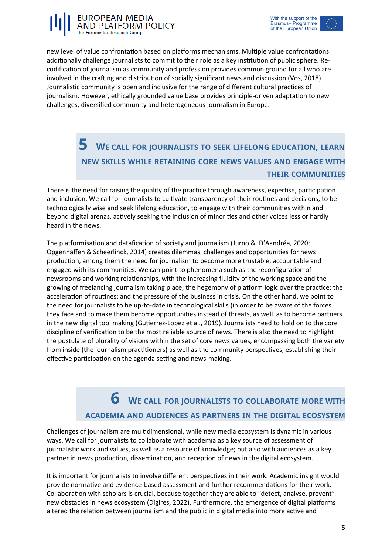



new level of value confrontation based on platforms mechanisms. Multiple value confrontations additionally challenge journalists to commit to their role as a key institution of public sphere. Recodification of journalism as community and profession provides common ground for all who are involved in the crafting and distribution of socially significant news and discussion (Vos, 2018). Journalistic community is open and inclusive for the range of different cultural practices of journalism. However, ethically grounded value base provides principle-driven adaptation to new challenges, diversified community and heterogeneous journalism in Europe.

#### **5 <sup>W</sup><sup>E</sup> CALL FOR JOURNALISTS TO SEEK LIFELONG EDUCATION, LEARN NEW SKILLS WHILE RETAINING CORE NEWS VALUES AND ENGAGE WITH THEIR COMMUNITIES**

There is the need for raising the quality of the practice through awareness, expertise, participation and inclusion. We call for journalists to cultivate transparency of their routines and decisions, to be technologically wise and seek lifelong education, to engage with their communities within and beyond digital arenas, actively seeking the inclusion of minorities and other voices less or hardly heard in the news.

The platformisation and datafication of society and journalism (Jurno & D'Aandréa, 2020; Opgenhaffen & Scheerlinck, 2014) creates dilemmas, challenges and opportunities for news production, among them the need for journalism to become more trustable, accountable and engaged with its communities. We can point to phenomena such as the reconfiguration of newsrooms and working relationships, with the increasing fluidity of the working space and the growing of freelancing journalism taking place; the hegemony of platform logic over the practice; the acceleration of routines; and the pressure of the business in crisis. On the other hand, we point to the need for journalists to be up-to-date in technological skills (in order to be aware of the forces they face and to make them become opportunities instead of threats, as well as to become partners in the new digital tool making (Gutierrez-Lopez et al., 2019). Journalists need to hold on to the core discipline of verification to be the most reliable source of news. There is also the need to highlight the postulate of plurality of visions within the set of core news values, encompassing both the variety from inside (the journalism practitioners) as well as the community perspectives, establishing their effective participation on the agenda setting and news-making.

### **6 <sup>W</sup><sup>E</sup> CALL FOR JOURNALISTS TO COLLABORATE MORE WITH ACADEMIA AND AUDIENCES AS PARTNERS IN THE DIGITAL ECOSYSTEM**

Challenges of journalism are multidimensional, while new media ecosystem is dynamic in various ways. We call for journalists to collaborate with academia as a key source of assessment of journalistic work and values, as well as a resource of knowledge; but also with audiences as a key partner in news production, dissemination, and reception of news in the digital ecosystem.

It is important for journalists to involve different perspectives in their work. Academic insight would provide normative and evidence-based assessment and further recommendations for their work. Collaboration with scholars is crucial, because together they are able to "detect, analyse, prevent" new obstacles in news ecosystem (Digires, 2022). Furthermore, the emergence of digital platforms altered the relation between journalism and the public in digital media into more active and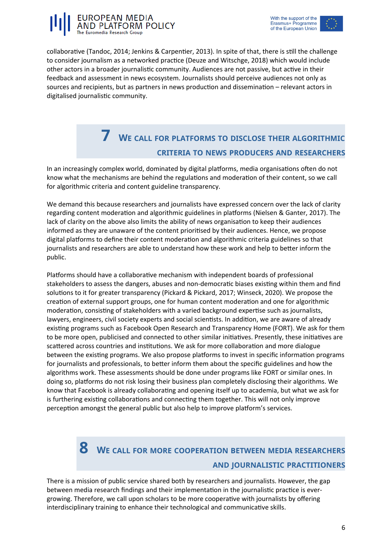



collaborative (Tandoc, 2014; Jenkins & Carpentier, 2013). In spite of that, there is still the challenge to consider journalism as a networked practice (Deuze and Witschge, 2018) which would include other actors in a broader journalistic community. Audiences are not passive, but active in their feedback and assessment in news ecosystem. Journalists should perceive audiences not only as sources and recipients, but as partners in news production and dissemination – relevant actors in digitalised journalistic community.

### **7 <sup>W</sup><sup>E</sup> CALL FOR PLATFORMS TO DISCLOSE THEIR ALGORITHMIC CRITERIA TO NEWS PRODUCERS AND RESEARCHERS**

In an increasingly complex world, dominated by digital platforms, media organisations often do not know what the mechanisms are behind the regulations and moderation of their content, so we call for algorithmic criteria and content guideline transparency.

We demand this because researchers and journalists have expressed concern over the lack of clarity regarding content moderation and algorithmic guidelines in platforms (Nielsen & Ganter, 2017). The lack of clarity on the above also limits the ability of news organisation to keep their audiences informed as they are unaware of the content prioritised by their audiences. Hence, we propose digital platforms to define their content moderation and algorithmic criteria guidelines so that journalists and researchers are able to understand how these work and help to better inform the public.

Platforms should have a collaborative mechanism with independent boards of professional stakeholders to assess the dangers, abuses and non-democratic biases existing within them and find solutions to it for greater transparency (Pickard & Pickard, 2017; Winseck, 2020). We propose the creation of external support groups, one for human content moderation and one for algorithmic moderation, consisting of stakeholders with a varied background expertise such as journalists, lawyers, engineers, civil society experts and social scientists. In addition, we are aware of already existing programs such as Facebook Open Research and Transparency Home (FORT). We ask for them to be more open, publicised and connected to other similar initiatives. Presently, these initiatives are scattered across countries and institutions. We ask for more collaboration and more dialogue between the existing programs. We also propose platforms to invest in specific information programs for journalists and professionals, to better inform them about the specific guidelines and how the algorithms work. These assessments should be done under programs like FORT or similar ones. In doing so, platforms do not risk losing their business plan completely disclosing their algorithms. We know that Facebook is already collaborating and opening itself up to academia, but what we ask for is furthering existing collaborations and connecting them together. This will not only improve perception amongst the general public but also help to improve platform's services.

# **8 <sup>W</sup><sup>E</sup> CALL FOR MORE COOPERATION BETWEEN MEDIA RESEARCHERS AND JOURNALISTIC PRACTITIONERS**

There is a mission of public service shared both by researchers and journalists. However, the gap between media research findings and their implementation in the journalistic practice is evergrowing. Therefore, we call upon scholars to be more cooperative with journalists by offering interdisciplinary training to enhance their technological and communicative skills.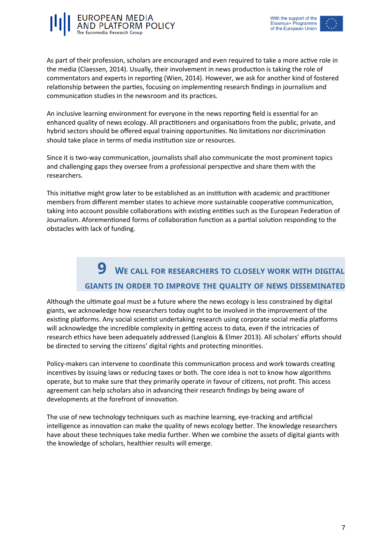



As part of their profession, scholars are encouraged and even required to take a more active role in the media (Claessen, 2014). Usually, their involvement in news production is taking the role of commentators and experts in reporting (Wien, 2014). However, we ask for another kind of fostered relationship between the parties, focusing on implementing research findings in journalism and communication studies in the newsroom and its practices.

An inclusive learning environment for everyone in the news reporting field is essential for an enhanced quality of news ecology. All practitioners and organisations from the public, private, and hybrid sectors should be offered equal training opportunities. No limitations nor discrimination should take place in terms of media institution size or resources.

Since it is two-way communication, journalists shall also communicate the most prominent topics and challenging gaps they oversee from a professional perspective and share them with the researchers.

This initiative might grow later to be established as an institution with academic and practitioner members from different member states to achieve more sustainable cooperative communication, taking into account possible collaborations with existing entities such as the European Federation of Journalism. Aforementioned forms of collaboration function as a partial solution responding to the obstacles with lack of funding.

### **9 <sup>W</sup><sup>E</sup> CALL FOR RESEARCHERS TO CLOSELY WORK WITH DIGITAL GIANTS IN ORDER TO IMPROVE THE QUALITY OF NEWS DISSEMINATED**

Although the ultimate goal must be a future where the news ecology is less constrained by digital giants, we acknowledge how researchers today ought to be involved in the improvement of the existing platforms. Any social scientist undertaking research using corporate social media platforms will acknowledge the incredible complexity in getting access to data, even if the intricacies of research ethics have been adequately addressed (Langlois & Elmer 2013). All scholars' efforts should be directed to serving the citizens' digital rights and protecting minorities.

Policy-makers can intervene to coordinate this communication process and work towards creating incentives by issuing laws or reducing taxes or both. The core idea is not to know how algorithms operate, but to make sure that they primarily operate in favour of citizens, not profit. This access agreement can help scholars also in advancing their research findings by being aware of developments at the forefront of innovation.

The use of new technology techniques such as machine learning, eye-tracking and artificial intelligence as innovation can make the quality of news ecology better. The knowledge researchers have about these techniques take media further. When we combine the assets of digital giants with the knowledge of scholars, healthier results will emerge.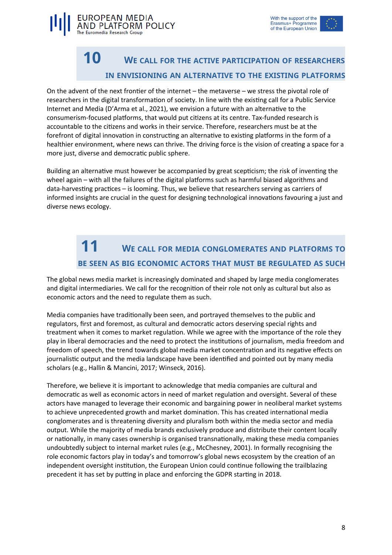

### **10 <sup>W</sup><sup>E</sup> CALL FOR THE ACTIVE PARTICIPATION OF RESEARCHERS IN ENVISIONING AN ALTERNATIVE TO THE EXISTING PLATFORMS**

On the advent of the next frontier of the internet – the metaverse – we stress the pivotal role of researchers in the digital transformation of society. In line with the existing call for a Public Service Internet and Media (D'Arma et al., 2021), we envision a future with an alternative to the consumerism-focused platforms, that would put citizens at its centre. Tax-funded research is accountable to the citizens and works in their service. Therefore, researchers must be at the forefront of digital innovation in constructing an alternative to existing platforms in the form of a healthier environment, where news can thrive. The driving force is the vision of creating a space for a more just, diverse and democratic public sphere.

EUROPEAN MEDIA

The Euromedia Research Group

**PLATFORM POLICY** 

Building an alternative must however be accompanied by great scepticism; the risk of inventing the wheel again – with all the failures of the digital platforms such as harmful biased algorithms and data-harvesting practices – is looming. Thus, we believe that researchers serving as carriers of informed insights are crucial in the quest for designing technological innovations favouring a just and diverse news ecology.

# **11 <sup>W</sup><sup>E</sup> CALL FOR MEDIA CONGLOMERATES AND PLATFORMS TO BE SEEN AS BIG ECONOMIC ACTORS THAT MUST BE REGULATED AS SUCH**

The global news media market is increasingly dominated and shaped by large media conglomerates and digital intermediaries. We call for the recognition of their role not only as cultural but also as economic actors and the need to regulate them as such.

Media companies have traditionally been seen, and portrayed themselves to the public and regulators, first and foremost, as cultural and democratic actors deserving special rights and treatment when it comes to market regulation. While we agree with the importance of the role they play in liberal democracies and the need to protect the institutions of journalism, media freedom and freedom of speech, the trend towards global media market concentration and its negative effects on journalistic output and the media landscape have been identified and pointed out by many media scholars (e.g., Hallin & Mancini, 2017; Winseck, 2016).

Therefore, we believe it is important to acknowledge that media companies are cultural and democratic as well as economic actors in need of market regulation and oversight. Several of these actors have managed to leverage their economic and bargaining power in neoliberal market systems to achieve unprecedented growth and market domination. This has created international media conglomerates and is threatening diversity and pluralism both within the media sector and media output. While the majority of media brands exclusively produce and distribute their content locally or nationally, in many cases ownership is organised transnationally, making these media companies undoubtedly subject to internal market rules (e.g., McChesney, 2001). In formally recognising the role economic factors play in today's and tomorrow's global news ecosystem by the creation of an independent oversight institution, the European Union could continue following the trailblazing precedent it has set by putting in place and enforcing the GDPR starting in 2018.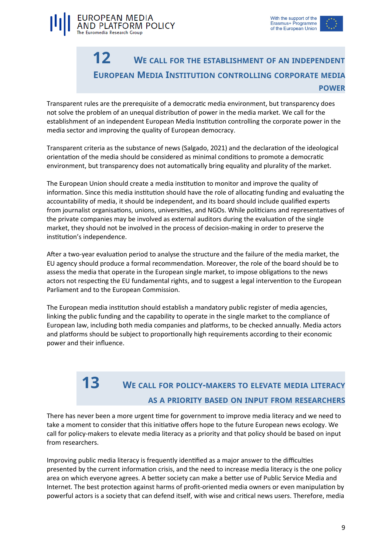



#### **12 <sup>W</sup><sup>E</sup> CALL FOR THE ESTABLISHMENT OF AN INDEPENDENT EUROPEAN MEDIA INSTITUTION CONTROLLING CORPORATE MEDIA POWER**

Transparent rules are the prerequisite of a democratic media environment, but transparency does not solve the problem of an unequal distribution of power in the media market. We call for the establishment of an independent European Media Institution controlling the corporate power in the media sector and improving the quality of European democracy.

Transparent criteria as the substance of news (Salgado, 2021) and the declaration of the ideological orientation of the media should be considered as minimal conditions to promote a democratic environment, but transparency does not automatically bring equality and plurality of the market.

The European Union should create a media institution to monitor and improve the quality of information. Since this media institution should have the role of allocating funding and evaluating the accountability of media, it should be independent, and its board should include qualified experts from journalist organisations, unions, universities, and NGOs. While politicians and representatives of the private companies may be involved as external auditors during the evaluation of the single market, they should not be involved in the process of decision-making in order to preserve the institution's independence.

After a two-year evaluation period to analyse the structure and the failure of the media market, the EU agency should produce a formal recommendation. Moreover, the role of the board should be to assess the media that operate in the European single market, to impose obligations to the news actors not respecting the EU fundamental rights, and to suggest a legal intervention to the European Parliament and to the European Commission.

The European media institution should establish a mandatory public register of media agencies, linking the public funding and the capability to operate in the single market to the compliance of European law, including both media companies and platforms, to be checked annually. Media actors and platforms should be subject to proportionally high requirements according to their economic power and their influence.

# **13 <sup>W</sup><sup>E</sup> CALL FOR POLICY-MAKERS TO ELEVATE MEDIA LITERACY AS A PRIORITY BASED ON INPUT FROM RESEARCHERS**

There has never been a more urgent time for government to improve media literacy and we need to take a moment to consider that this initiative offers hope to the future European news ecology. We call for policy-makers to elevate media literacy as a priority and that policy should be based on input from researchers.

Improving public media literacy is frequently identified as a major answer to the difficulties presented by the current information crisis, and the need to increase media literacy is the one policy area on which everyone agrees. A better society can make a better use of Public Service Media and Internet. The best protection against harms of profit-oriented media owners or even manipulation by powerful actors is a society that can defend itself, with wise and critical news users. Therefore, media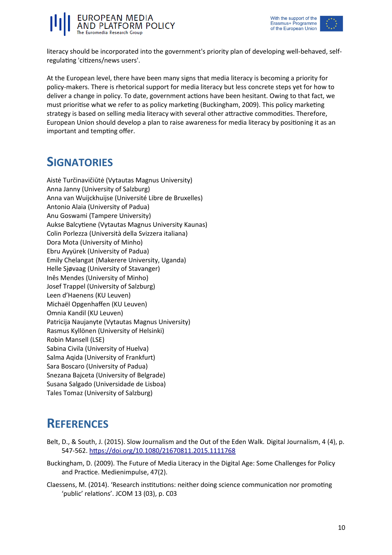



literacy should be incorporated into the government's priority plan of developing well-behaved, selfregulating 'citizens/news users'.

At the European level, there have been many signs that media literacy is becoming a priority for policy-makers. There is rhetorical support for media literacy but less concrete steps yet for how to deliver a change in policy. To date, government actions have been hesitant. Owing to that fact, we must prioritise what we refer to as policy marketing (Buckingham, 2009). This policy marketing strategy is based on selling media literacy with several other attractive commodities. Therefore, European Union should develop a plan to raise awareness for media literacy by positioning it as an important and tempting offer.

### **SIGNATORIES**

Aistė Turčinavičiūtė (Vytautas Magnus University) Anna Janny (University of Salzburg) Anna van Wuijckhuijse (Université Libre de Bruxelles) Antonio Alaia (University of Padua) Anu Goswami (Tampere University) Aukse Balcytiene (Vytautas Magnus University Kaunas) Colin Porlezza (Università della Svizzera italiana) Dora Mota (University of Minho) Ebru Ayyürek (University of Padua) Emily Chelangat (Makerere University, Uganda) Helle Sjøvaag (University of Stavanger) Inês Mendes (University of Minho) Josef Trappel (University of Salzburg) Leen d'Haenens (KU Leuven) Michaël Opgenhaffen (KU Leuven) Omnia Kandil (KU Leuven) Patricija Naujanyte (Vytautas Magnus University) Rasmus Kyllönen (University of Helsinki) Robin Mansell (LSE) Sabina Civila (University of Huelva) Salma Aqida (University of Frankfurt) Sara Boscaro (University of Padua) Snezana Bajceta (University of Belgrade) Susana Salgado (Universidade de Lisboa) Tales Tomaz (University of Salzburg)

# **REFERENCES**

- Belt, D., & South, J. (2015). Slow Journalism and the Out of the Eden Walk. Digital Journalism, 4 (4), p. 547-562. <https://doi.org/10.1080/21670811.2015.1111768>
- Buckingham, D. (2009). The Future of Media Literacy in the Digital Age: Some Challenges for Policy and Practice. Medienimpulse, 47(2).
- Claessens, M. (2014). 'Research institutions: neither doing science communication nor promoting 'public' relations'. JCOM 13 (03), p. C03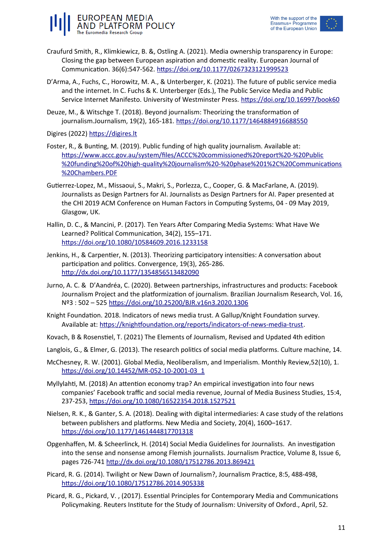

- Craufurd Smith, R., Klimkiewicz, B. &, Ostling A. (2021). Media ownership transparency in Europe: Closing the gap between European aspiration and domestic reality. European Journal of Communication. 36(6):547-562.<https://doi.org/10.1177/0267323121999523>
- D'Arma, A., Fuchs, C., Horowitz, M. A., & Unterberger, K. (2021). The future of public service media and the internet. In C. Fuchs & K. Unterberger (Eds.), The Public Service Media and Public Service Internet Manifesto. University of Westminster Press. <https://doi.org/10.16997/book60>
- Deuze, M., & Witschge T. (2018). Beyond journalism: Theorizing the transformation of journalism.Journalism, 19(2), 165-181. <https://doi.org/10.1177/1464884916688550>

Digires (2022) [https://digires.lt](https://digires.lt/)

- Foster, R., & Bunting, M. (2019). Public funding of high quality journalism. Available at: [https://www.accc.gov.au/system/files/ACCC%20commissioned%20report%20-%20Public](https://www.accc.gov.au/system/files/ACCC%20commissioned%20report%20-%20Public%20funding%20of%20high-quality%20journalism%20-%20phase%201%2C%20Communications%20Chambers.PDF) [%20funding%20of%20high-quality%20journalism%20-%20phase%201%2C%20Communications](https://www.accc.gov.au/system/files/ACCC%20commissioned%20report%20-%20Public%20funding%20of%20high-quality%20journalism%20-%20phase%201%2C%20Communications%20Chambers.PDF) [%20Chambers.PDF](https://www.accc.gov.au/system/files/ACCC%20commissioned%20report%20-%20Public%20funding%20of%20high-quality%20journalism%20-%20phase%201%2C%20Communications%20Chambers.PDF)
- Gutierrez-Lopez, M., Missaoui, S., Makri, S., Porlezza, C., Cooper, G. & MacFarlane, A. (2019). Journalists as Design Partners for AI. Journalists as Design Partners for AI. Paper presented at the CHI 2019 ACM Conference on Human Factors in Computing Systems, 04 - 09 May 2019, Glasgow, UK.
- Hallin, D. C., & Mancini, P. (2017). Ten Years After Comparing Media Systems: What Have We Learned? Political Communication, 34(2), 155–171. https://doi.org/10.1080/10584609.2016.1233158
- Jenkins, H., & Carpentier, N. (2013). Theorizing participatory intensities: A conversation about participation and politics. Convergence, 19(3), 265-286. <http://dx.doi.org/10.1177/1354856513482090>
- Jurno, A. C. & D'Aandréa, C. (2020). Between partnerships, infrastructures and products: Facebook Journalism Project and the platformization of journalism. Brazilian Journalism Research, Vol. 16, Nº3 : 502 – 525<https://doi.org/10.25200/BJR.v16n3.2020.1306>
- Knight Foundation. 2018. Indicators of news media trust. A Gallup/Knight Foundation survey. Available at: [https://knightfoundation.org/reports/indicators-of-news-media-trust.](https://knightfoundation.org/reports/indicators-of-news-media-trust)
- Kovach, B & Rosenstiel, T. (2021) The Elements of Journalism, Revised and Updated 4th edition
- Langlois, G., & Elmer, G. (2013). The research politics of social media platforms. Culture machine, 14.
- McChesney, R. W. (2001). Global Media, Neoliberalism, and Imperialism. Monthly Review,52(10), 1. https://doi.org/10.14452/MR-052-10-2001-03\_1
- Myllylahti, M. (2018) An attention economy trap? An empirical investigation into four news companies' Facebook traffic and social media revenue, Journal of Media Business Studies, 15:4, 237-253, <https://doi.org/10.1080/16522354.2018.1527521>
- Nielsen, R. K., & Ganter, S. A. (2018). Dealing with digital intermediaries: A case study of the relations between publishers and platforms. New Media and Society, 20(4), 1600–1617. <https://doi.org/10.1177/1461444817701318>
- Opgenhaffen, M. & Scheerlinck, H. (2014) Social Media Guidelines for Journalists. An investigation into the sense and nonsense among Flemish journalists. Journalism Practice, Volume 8, Issue 6, pages 726-741<http://dx.doi.org/10.1080/17512786.2013.869421>
- Picard, R. G. (2014). Twilight or New Dawn of Journalism?, Journalism Practice, 8:5, 488-498, <https://doi.org/10.1080/17512786.2014.905338>
- Picard, R. G., Pickard, V. , (2017). Essential Principles for Contemporary Media and Communications Policymaking. Reuters Institute for the Study of Journalism: University of Oxford., April, 52.